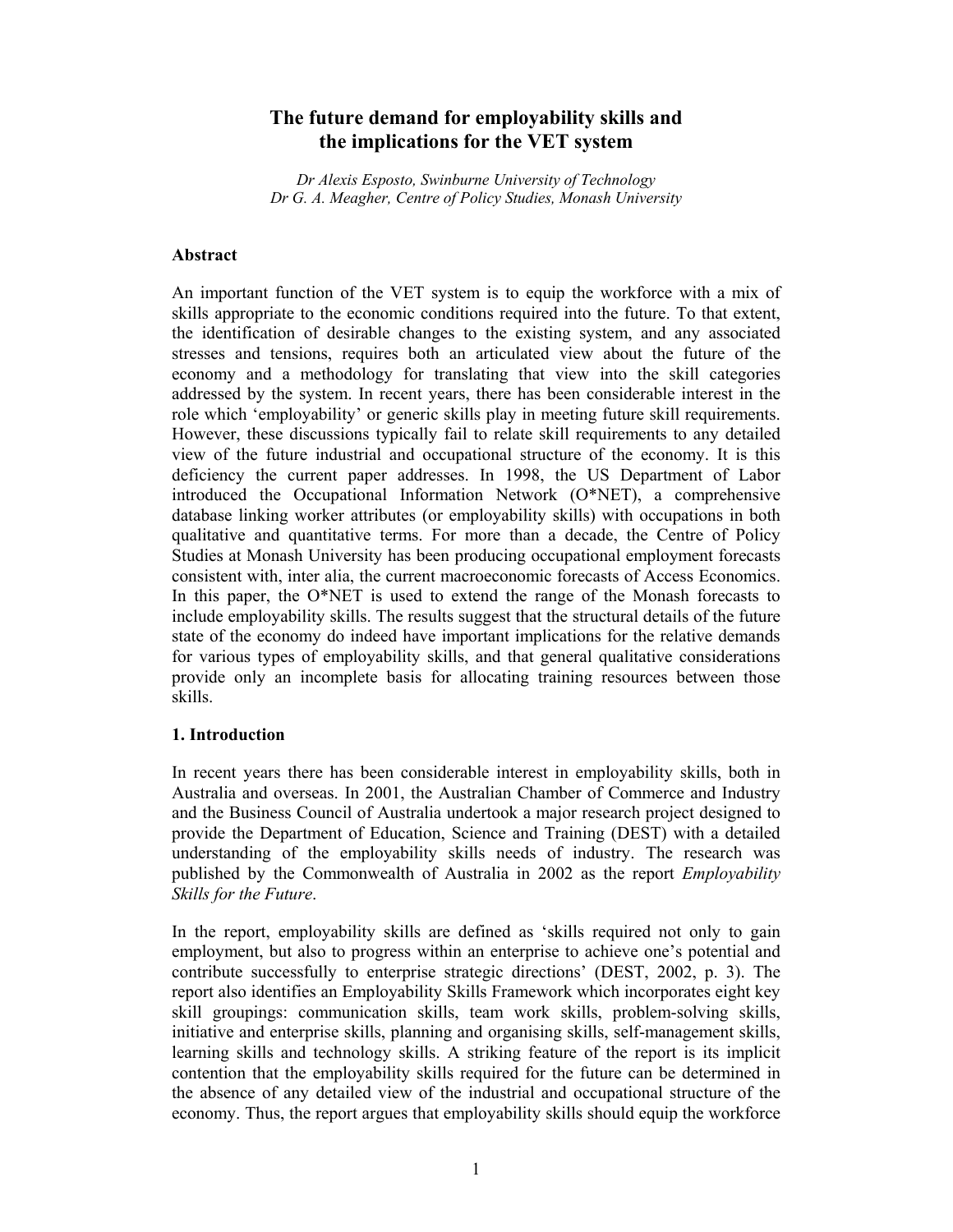# **The future demand for employability skills and the implications for the VET system**

*Dr Alexis Esposto, Swinburne University of Technology Dr G. A. Meagher, Centre of Policy Studies, Monash University* 

### **Abstract**

An important function of the VET system is to equip the workforce with a mix of skills appropriate to the economic conditions required into the future. To that extent, the identification of desirable changes to the existing system, and any associated stresses and tensions, requires both an articulated view about the future of the economy and a methodology for translating that view into the skill categories addressed by the system. In recent years, there has been considerable interest in the role which 'employability' or generic skills play in meeting future skill requirements. However, these discussions typically fail to relate skill requirements to any detailed view of the future industrial and occupational structure of the economy. It is this deficiency the current paper addresses. In 1998, the US Department of Labor introduced the Occupational Information Network (O\*NET), a comprehensive database linking worker attributes (or employability skills) with occupations in both qualitative and quantitative terms. For more than a decade, the Centre of Policy Studies at Monash University has been producing occupational employment forecasts consistent with, inter alia, the current macroeconomic forecasts of Access Economics. In this paper, the O\*NET is used to extend the range of the Monash forecasts to include employability skills. The results suggest that the structural details of the future state of the economy do indeed have important implications for the relative demands for various types of employability skills, and that general qualitative considerations provide only an incomplete basis for allocating training resources between those skills.

# **1. Introduction**

In recent years there has been considerable interest in employability skills, both in Australia and overseas. In 2001, the Australian Chamber of Commerce and Industry and the Business Council of Australia undertook a major research project designed to provide the Department of Education, Science and Training (DEST) with a detailed understanding of the employability skills needs of industry. The research was published by the Commonwealth of Australia in 2002 as the report *Employability Skills for the Future*.

In the report, employability skills are defined as 'skills required not only to gain employment, but also to progress within an enterprise to achieve one's potential and contribute successfully to enterprise strategic directions' (DEST, 2002, p. 3). The report also identifies an Employability Skills Framework which incorporates eight key skill groupings: communication skills, team work skills, problem-solving skills, initiative and enterprise skills, planning and organising skills, self-management skills, learning skills and technology skills. A striking feature of the report is its implicit contention that the employability skills required for the future can be determined in the absence of any detailed view of the industrial and occupational structure of the economy. Thus, the report argues that employability skills should equip the workforce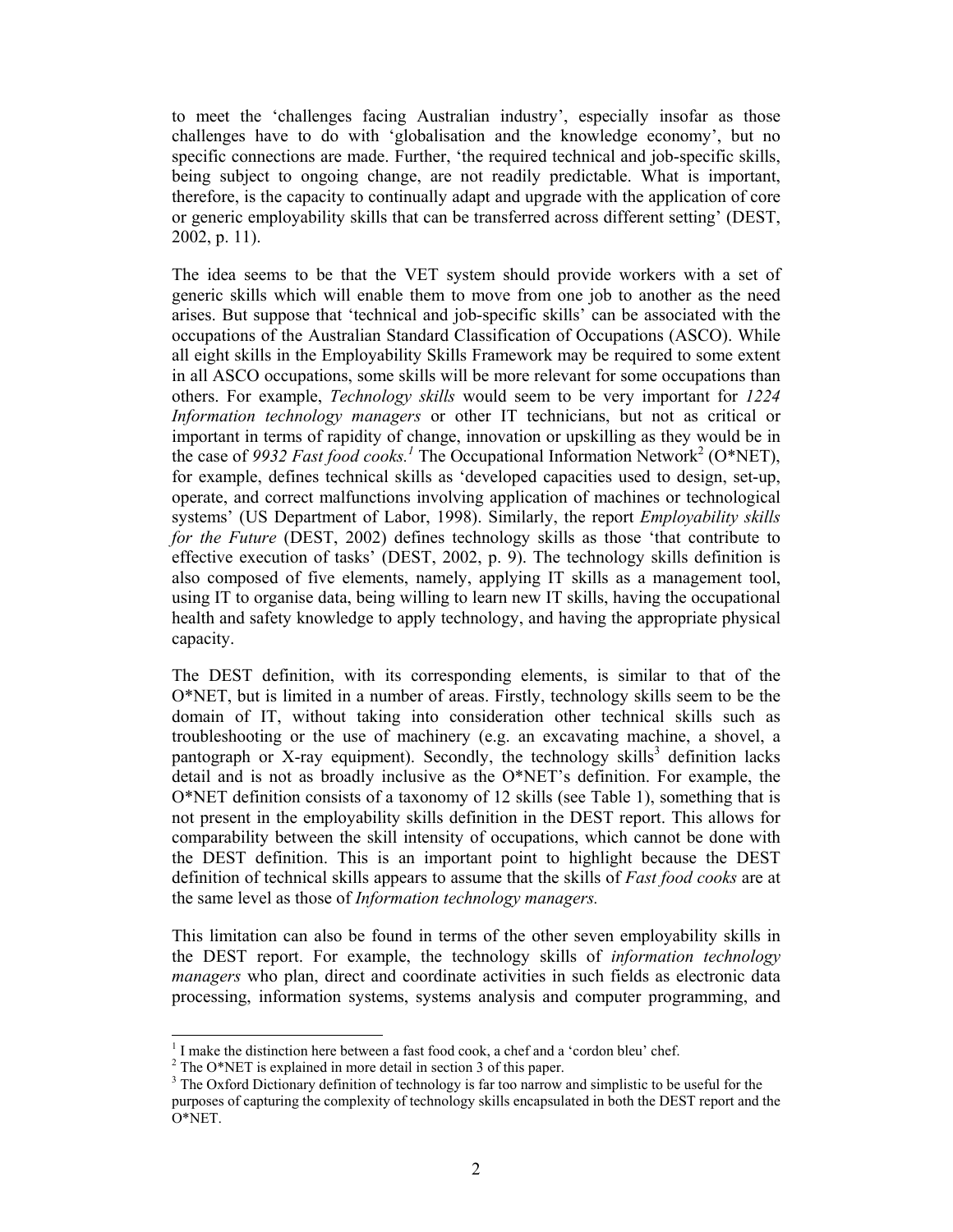to meet the 'challenges facing Australian industry', especially insofar as those challenges have to do with 'globalisation and the knowledge economy', but no specific connections are made. Further, 'the required technical and job-specific skills, being subject to ongoing change, are not readily predictable. What is important, therefore, is the capacity to continually adapt and upgrade with the application of core or generic employability skills that can be transferred across different setting' (DEST, 2002, p. 11).

The idea seems to be that the VET system should provide workers with a set of generic skills which will enable them to move from one job to another as the need arises. But suppose that 'technical and job-specific skills' can be associated with the occupations of the Australian Standard Classification of Occupations (ASCO). While all eight skills in the Employability Skills Framework may be required to some extent in all ASCO occupations, some skills will be more relevant for some occupations than others. For example, *Technology skills* would seem to be very important for *1224 Information technology managers* or other IT technicians, but not as critical or important in terms of rapidity of change, innovation or upskilling as they would be in the case of 9932 Fast food cooks.<sup>1</sup> The Occupational Information Network<sup>2</sup> (O\*NET), for example, defines technical skills as 'developed capacities used to design, set-up, operate, and correct malfunctions involving application of machines or technological systems' (US Department of Labor, 1998). Similarly, the report *Employability skills for the Future* (DEST, 2002) defines technology skills as those 'that contribute to effective execution of tasks' (DEST, 2002, p. 9). The technology skills definition is also composed of five elements, namely, applying IT skills as a management tool, using IT to organise data, being willing to learn new IT skills, having the occupational health and safety knowledge to apply technology, and having the appropriate physical capacity.

The DEST definition, with its corresponding elements, is similar to that of the O\*NET, but is limited in a number of areas. Firstly, technology skills seem to be the domain of IT, without taking into consideration other technical skills such as troubleshooting or the use of machinery (e.g. an excavating machine, a shovel, a pantograph or X-ray equipment). Secondly, the technology skills<sup>3</sup> definition lacks detail and is not as broadly inclusive as the O\*NET's definition. For example, the O\*NET definition consists of a taxonomy of 12 skills (see Table 1), something that is not present in the employability skills definition in the DEST report. This allows for comparability between the skill intensity of occupations, which cannot be done with the DEST definition. This is an important point to highlight because the DEST definition of technical skills appears to assume that the skills of *Fast food cooks* are at the same level as those of *Information technology managers.* 

This limitation can also be found in terms of the other seven employability skills in the DEST report. For example, the technology skills of *information technology managers* who plan, direct and coordinate activities in such fields as electronic data processing, information systems, systems analysis and computer programming, and

l

<sup>&</sup>lt;sup>1</sup> I make the distinction here between a fast food cook, a chef and a 'cordon bleu' chef.

<sup>&</sup>lt;sup>2</sup> The O\*NET is explained in more detail in section 3 of this paper.

 $3$  The Oxford Dictionary definition of technology is far too narrow and simplistic to be useful for the purposes of capturing the complexity of technology skills encapsulated in both the DEST report and the O\*NET.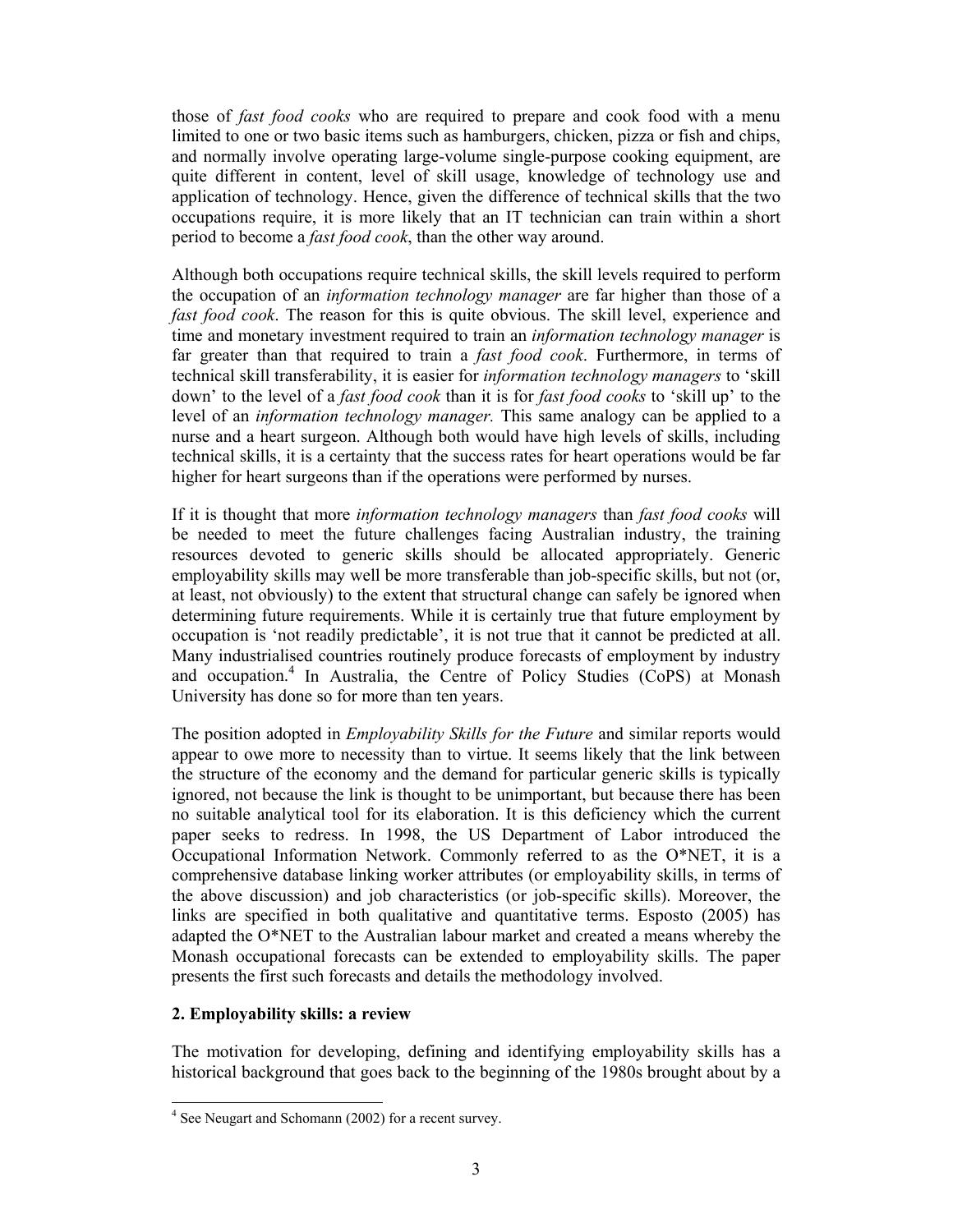those of *fast food cooks* who are required to prepare and cook food with a menu limited to one or two basic items such as hamburgers, chicken, pizza or fish and chips, and normally involve operating large-volume single-purpose cooking equipment, are quite different in content, level of skill usage, knowledge of technology use and application of technology. Hence, given the difference of technical skills that the two occupations require, it is more likely that an IT technician can train within a short period to become a *fast food cook*, than the other way around.

Although both occupations require technical skills, the skill levels required to perform the occupation of an *information technology manager* are far higher than those of a *fast food cook*. The reason for this is quite obvious. The skill level, experience and time and monetary investment required to train an *information technology manager* is far greater than that required to train a *fast food cook*. Furthermore, in terms of technical skill transferability, it is easier for *information technology managers* to 'skill down' to the level of a *fast food cook* than it is for *fast food cooks* to 'skill up' to the level of an *information technology manager.* This same analogy can be applied to a nurse and a heart surgeon. Although both would have high levels of skills, including technical skills, it is a certainty that the success rates for heart operations would be far higher for heart surgeons than if the operations were performed by nurses.

If it is thought that more *information technology managers* than *fast food cooks* will be needed to meet the future challenges facing Australian industry, the training resources devoted to generic skills should be allocated appropriately. Generic employability skills may well be more transferable than job-specific skills, but not (or, at least, not obviously) to the extent that structural change can safely be ignored when determining future requirements. While it is certainly true that future employment by occupation is 'not readily predictable', it is not true that it cannot be predicted at all. Many industrialised countries routinely produce forecasts of employment by industry and occupation.<sup>4</sup> In Australia, the Centre of Policy Studies (CoPS) at Monash University has done so for more than ten years.

The position adopted in *Employability Skills for the Future* and similar reports would appear to owe more to necessity than to virtue. It seems likely that the link between the structure of the economy and the demand for particular generic skills is typically ignored, not because the link is thought to be unimportant, but because there has been no suitable analytical tool for its elaboration. It is this deficiency which the current paper seeks to redress. In 1998, the US Department of Labor introduced the Occupational Information Network. Commonly referred to as the O\*NET, it is a comprehensive database linking worker attributes (or employability skills, in terms of the above discussion) and job characteristics (or job-specific skills). Moreover, the links are specified in both qualitative and quantitative terms. Esposto (2005) has adapted the O\*NET to the Australian labour market and created a means whereby the Monash occupational forecasts can be extended to employability skills. The paper presents the first such forecasts and details the methodology involved.

# **2. Employability skills: a review**

The motivation for developing, defining and identifying employability skills has a historical background that goes back to the beginning of the 1980s brought about by a

 4 See Neugart and Schomann (2002) for a recent survey.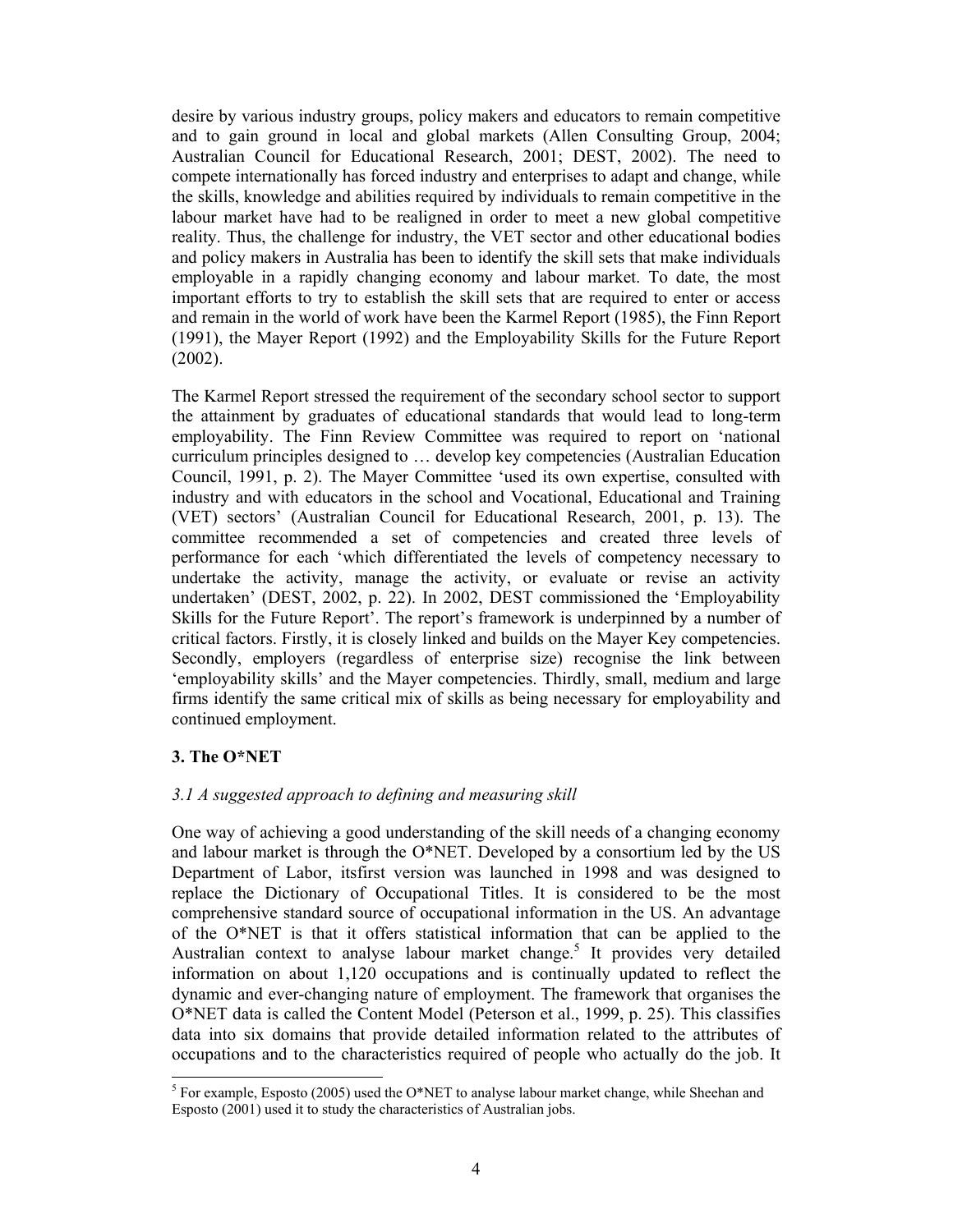desire by various industry groups, policy makers and educators to remain competitive and to gain ground in local and global markets (Allen Consulting Group, 2004; Australian Council for Educational Research, 2001; DEST, 2002). The need to compete internationally has forced industry and enterprises to adapt and change, while the skills, knowledge and abilities required by individuals to remain competitive in the labour market have had to be realigned in order to meet a new global competitive reality. Thus, the challenge for industry, the VET sector and other educational bodies and policy makers in Australia has been to identify the skill sets that make individuals employable in a rapidly changing economy and labour market. To date, the most important efforts to try to establish the skill sets that are required to enter or access and remain in the world of work have been the Karmel Report (1985), the Finn Report (1991), the Mayer Report (1992) and the Employability Skills for the Future Report (2002).

The Karmel Report stressed the requirement of the secondary school sector to support the attainment by graduates of educational standards that would lead to long-term employability. The Finn Review Committee was required to report on 'national curriculum principles designed to … develop key competencies (Australian Education Council, 1991, p. 2). The Mayer Committee 'used its own expertise, consulted with industry and with educators in the school and Vocational, Educational and Training (VET) sectors' (Australian Council for Educational Research, 2001, p. 13). The committee recommended a set of competencies and created three levels of performance for each 'which differentiated the levels of competency necessary to undertake the activity, manage the activity, or evaluate or revise an activity undertaken' (DEST, 2002, p. 22). In 2002, DEST commissioned the 'Employability Skills for the Future Report'. The report's framework is underpinned by a number of critical factors. Firstly, it is closely linked and builds on the Mayer Key competencies. Secondly, employers (regardless of enterprise size) recognise the link between 'employability skills' and the Mayer competencies. Thirdly, small, medium and large firms identify the same critical mix of skills as being necessary for employability and continued employment.

# **3. The O\*NET**

# *3.1 A suggested approach to defining and measuring skill*

One way of achieving a good understanding of the skill needs of a changing economy and labour market is through the  $O^*NET$ . Developed by a consortium led by the US Department of Labor, itsfirst version was launched in 1998 and was designed to replace the Dictionary of Occupational Titles. It is considered to be the most comprehensive standard source of occupational information in the US. An advantage of the O\*NET is that it offers statistical information that can be applied to the Australian context to analyse labour market change.<sup>5</sup> It provides very detailed information on about 1,120 occupations and is continually updated to reflect the dynamic and ever-changing nature of employment. The framework that organises the O\*NET data is called the Content Model (Peterson et al., 1999, p. 25). This classifies data into six domains that provide detailed information related to the attributes of occupations and to the characteristics required of people who actually do the job. It

<sup>&</sup>lt;sup>5</sup> For example, Esposto (2005) used the O\*NET to analyse labour market change, while Sheehan and Esposto (2001) used it to study the characteristics of Australian jobs.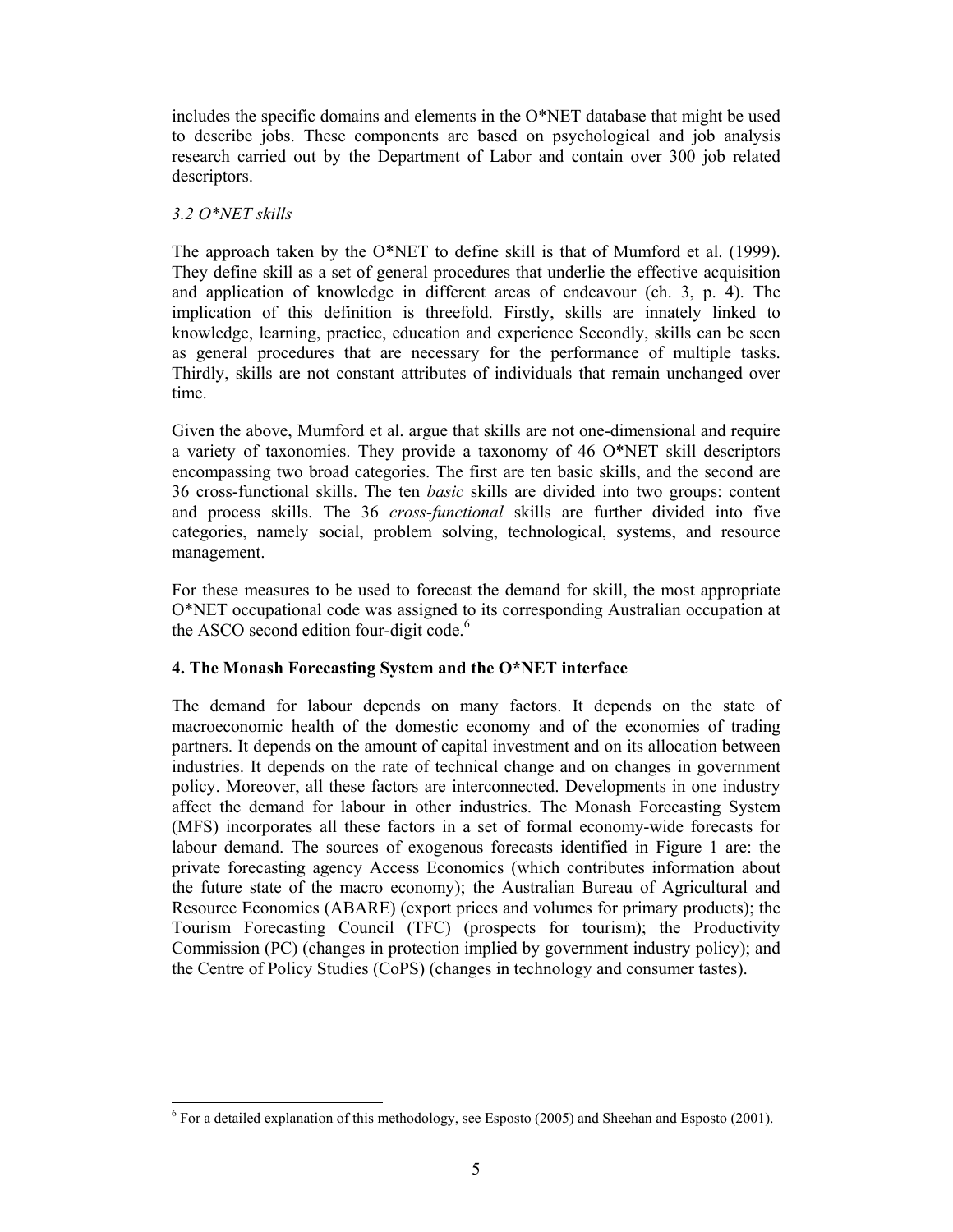includes the specific domains and elements in the  $O^*NET$  database that might be used to describe jobs. These components are based on psychological and job analysis research carried out by the Department of Labor and contain over 300 job related descriptors.

# *3.2 O\*NET skills*

l

The approach taken by the O\*NET to define skill is that of Mumford et al. (1999). They define skill as a set of general procedures that underlie the effective acquisition and application of knowledge in different areas of endeavour (ch. 3, p. 4). The implication of this definition is threefold. Firstly, skills are innately linked to knowledge, learning, practice, education and experience Secondly, skills can be seen as general procedures that are necessary for the performance of multiple tasks. Thirdly, skills are not constant attributes of individuals that remain unchanged over time.

Given the above, Mumford et al. argue that skills are not one-dimensional and require a variety of taxonomies. They provide a taxonomy of 46 O\*NET skill descriptors encompassing two broad categories. The first are ten basic skills, and the second are 36 cross-functional skills. The ten *basic* skills are divided into two groups: content and process skills. The 36 *cross-functional* skills are further divided into five categories, namely social, problem solving, technological, systems, and resource management.

For these measures to be used to forecast the demand for skill, the most appropriate O\*NET occupational code was assigned to its corresponding Australian occupation at the ASCO second edition four-digit code.<sup>6</sup>

# **4. The Monash Forecasting System and the O\*NET interface**

The demand for labour depends on many factors. It depends on the state of macroeconomic health of the domestic economy and of the economies of trading partners. It depends on the amount of capital investment and on its allocation between industries. It depends on the rate of technical change and on changes in government policy. Moreover, all these factors are interconnected. Developments in one industry affect the demand for labour in other industries. The Monash Forecasting System (MFS) incorporates all these factors in a set of formal economy-wide forecasts for labour demand. The sources of exogenous forecasts identified in Figure 1 are: the private forecasting agency Access Economics (which contributes information about the future state of the macro economy); the Australian Bureau of Agricultural and Resource Economics (ABARE) (export prices and volumes for primary products); the Tourism Forecasting Council (TFC) (prospects for tourism); the Productivity Commission (PC) (changes in protection implied by government industry policy); and the Centre of Policy Studies (CoPS) (changes in technology and consumer tastes).

 $6$  For a detailed explanation of this methodology, see Esposto (2005) and Sheehan and Esposto (2001).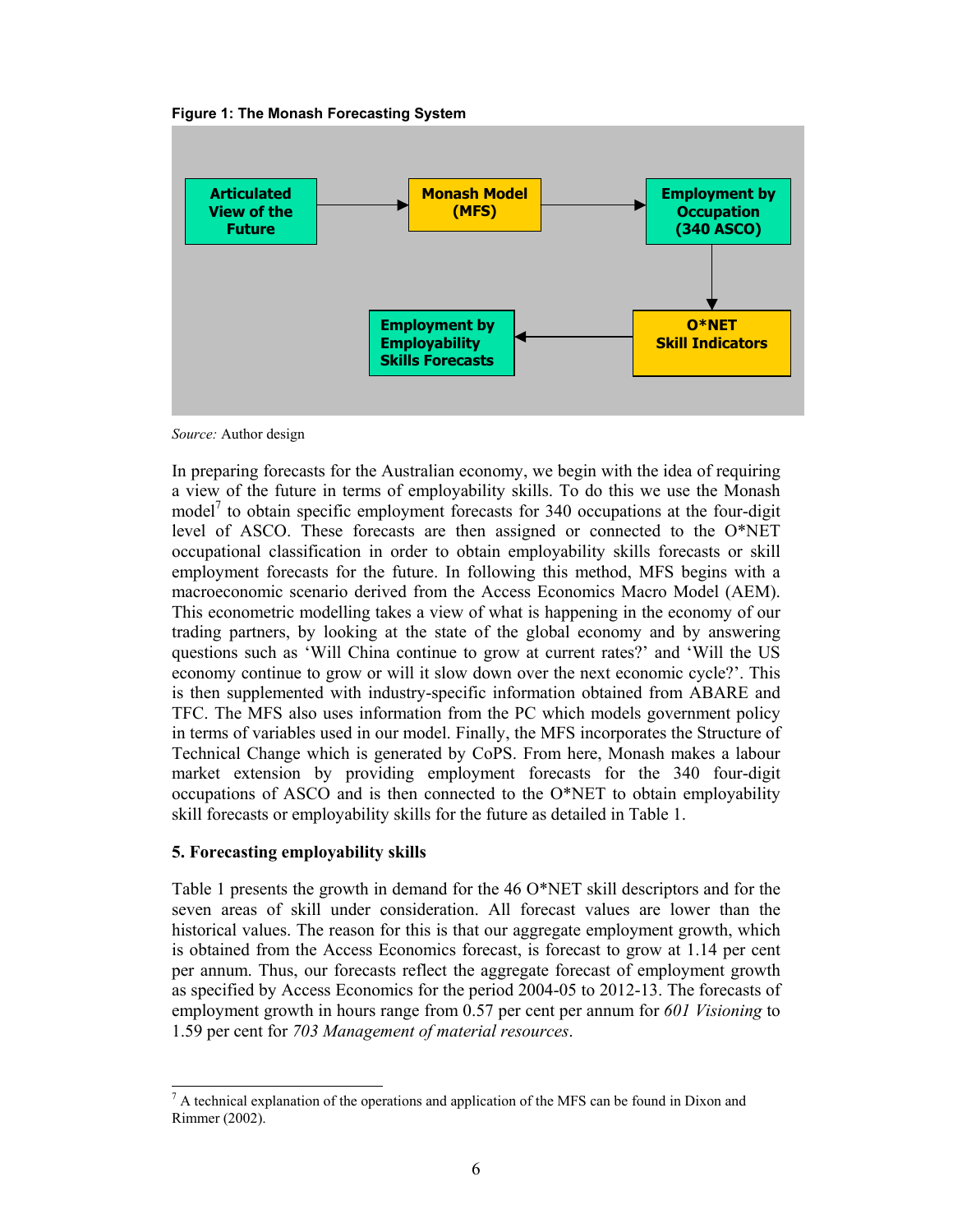



*Source:* Author design

In preparing forecasts for the Australian economy, we begin with the idea of requiring a view of the future in terms of employability skills. To do this we use the Monash model<sup>7</sup> to obtain specific employment forecasts for 340 occupations at the four-digit level of ASCO. These forecasts are then assigned or connected to the O\*NET occupational classification in order to obtain employability skills forecasts or skill employment forecasts for the future. In following this method, MFS begins with a macroeconomic scenario derived from the Access Economics Macro Model (AEM). This econometric modelling takes a view of what is happening in the economy of our trading partners, by looking at the state of the global economy and by answering questions such as 'Will China continue to grow at current rates?' and 'Will the US economy continue to grow or will it slow down over the next economic cycle?'. This is then supplemented with industry-specific information obtained from ABARE and TFC. The MFS also uses information from the PC which models government policy in terms of variables used in our model. Finally, the MFS incorporates the Structure of Technical Change which is generated by CoPS. From here, Monash makes a labour market extension by providing employment forecasts for the 340 four-digit occupations of ASCO and is then connected to the O\*NET to obtain employability skill forecasts or employability skills for the future as detailed in Table 1.

# **5. Forecasting employability skills**

Table 1 presents the growth in demand for the 46 O\*NET skill descriptors and for the seven areas of skill under consideration. All forecast values are lower than the historical values. The reason for this is that our aggregate employment growth, which is obtained from the Access Economics forecast, is forecast to grow at 1.14 per cent per annum. Thus, our forecasts reflect the aggregate forecast of employment growth as specified by Access Economics for the period 2004-05 to 2012-13. The forecasts of employment growth in hours range from 0.57 per cent per annum for *601 Visioning* to 1.59 per cent for *703 Management of material resources*.

l  $<sup>7</sup>$  A technical explanation of the operations and application of the MFS can be found in Dixon and</sup> Rimmer (2002).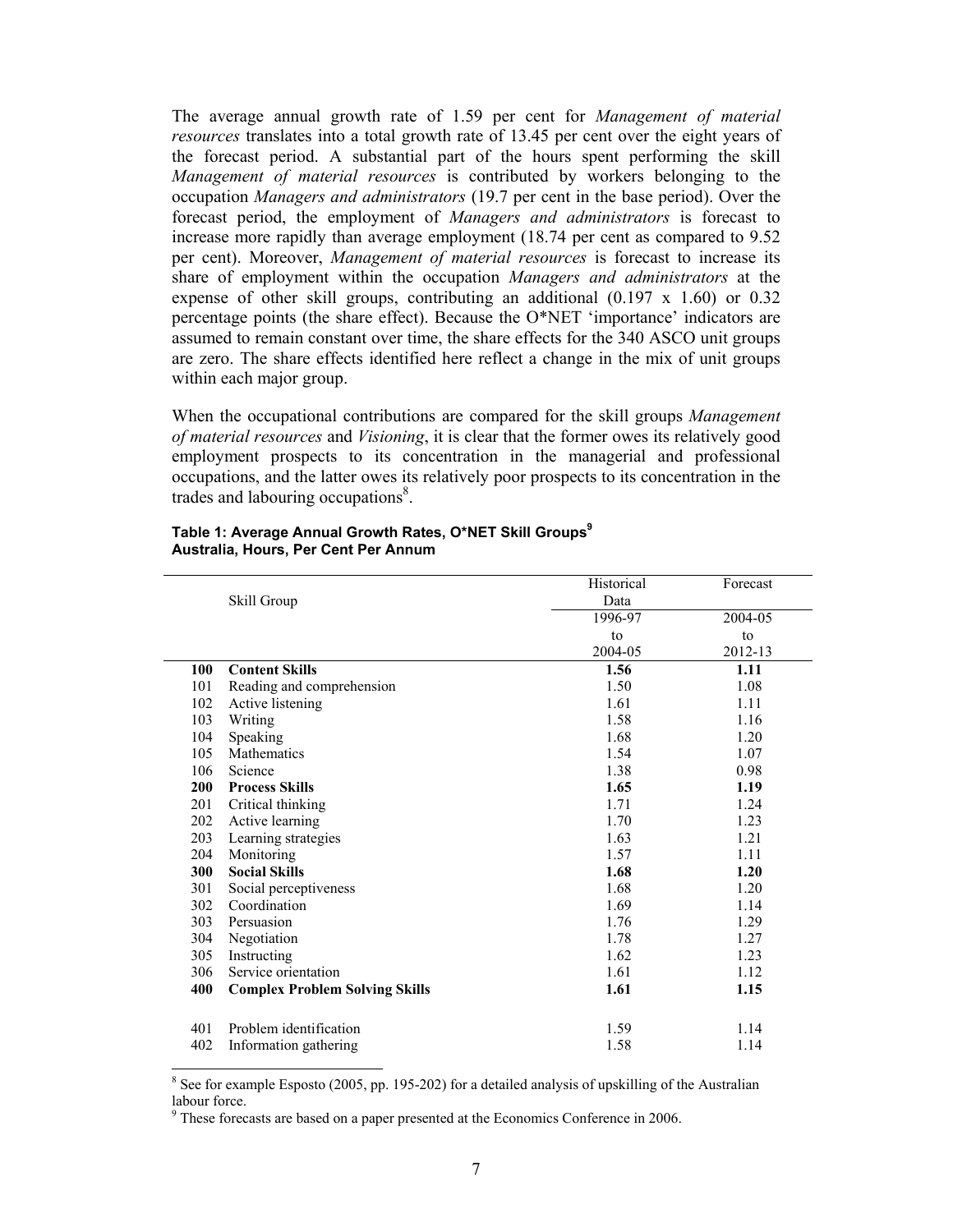The average annual growth rate of 1.59 per cent for *Management of material resources* translates into a total growth rate of 13.45 per cent over the eight years of the forecast period. A substantial part of the hours spent performing the skill *Management of material resources* is contributed by workers belonging to the occupation *Managers and administrators* (19.7 per cent in the base period). Over the forecast period, the employment of *Managers and administrators* is forecast to increase more rapidly than average employment (18.74 per cent as compared to 9.52 per cent). Moreover, *Management of material resources* is forecast to increase its share of employment within the occupation *Managers and administrators* at the expense of other skill groups, contributing an additional (0.197 x 1.60) or 0.32 percentage points (the share effect). Because the  $O^*NET$  'importance' indicators are assumed to remain constant over time, the share effects for the 340 ASCO unit groups are zero. The share effects identified here reflect a change in the mix of unit groups within each major group.

When the occupational contributions are compared for the skill groups *Management of material resources* and *Visioning*, it is clear that the former owes its relatively good employment prospects to its concentration in the managerial and professional occupations, and the latter owes its relatively poor prospects to its concentration in the trades and labouring occupations<sup>8</sup>.

|     |                                       | Historical | Forecast |
|-----|---------------------------------------|------------|----------|
|     | Skill Group                           | Data       |          |
|     |                                       | 1996-97    | 2004-05  |
|     |                                       | to         | to       |
|     |                                       | 2004-05    | 2012-13  |
| 100 | <b>Content Skills</b>                 | 1.56       | 1.11     |
| 101 | Reading and comprehension             | 1.50       | 1.08     |
| 102 | Active listening                      | 1.61       | 1.11     |
| 103 | Writing                               | 1.58       | 1.16     |
| 104 | Speaking                              | 1.68       | 1.20     |
| 105 | Mathematics                           | 1.54       | 1.07     |
| 106 | Science                               | 1.38       | 0.98     |
| 200 | <b>Process Skills</b>                 | 1.65       | 1.19     |
| 201 | Critical thinking                     | 1.71       | 1.24     |
| 202 | Active learning                       | 1.70       | 1.23     |
| 203 | Learning strategies                   | 1.63       | 1.21     |
| 204 | Monitoring                            | 1.57       | 1.11     |
| 300 | <b>Social Skills</b>                  | 1.68       | 1.20     |
| 301 | Social perceptiveness                 | 1.68       | 1.20     |
| 302 | Coordination                          | 1.69       | 1.14     |
| 303 | Persuasion                            | 1.76       | 1.29     |
| 304 | Negotiation                           | 1.78       | 1.27     |
| 305 | Instructing                           | 1.62       | 1.23     |
| 306 | Service orientation                   | 1.61       | 1.12     |
| 400 | <b>Complex Problem Solving Skills</b> | 1.61       | 1.15     |
|     |                                       |            |          |
| 401 | Problem identification                | 1.59       | 1.14     |
| 402 | Information gathering                 | 1.58       | 1.14     |
|     |                                       |            |          |

#### Table 1: Average Annual Growth Rates, O\*NET Skill Groups<sup>9</sup> **Australia, Hours, Per Cent Per Annum**

l

 $8$  See for example Esposto (2005, pp. 195-202) for a detailed analysis of upskilling of the Australian labour force.

<sup>&</sup>lt;sup>9</sup> These forecasts are based on a paper presented at the Economics Conference in 2006.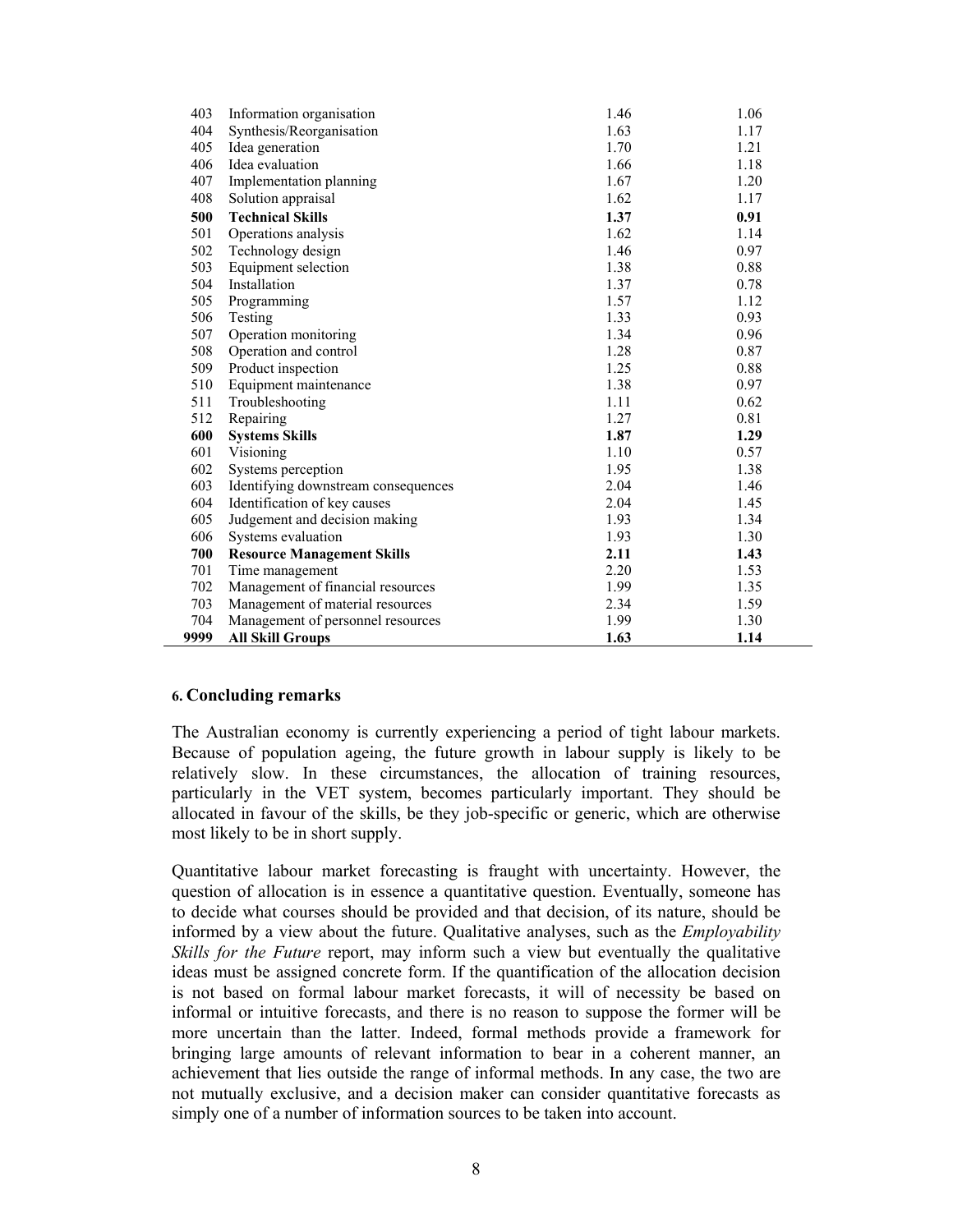| 403  | Information organisation            | 1.46 | 1.06 |
|------|-------------------------------------|------|------|
| 404  | Synthesis/Reorganisation            | 1.63 | 1.17 |
| 405  | Idea generation                     | 1.70 | 1.21 |
| 406  | Idea evaluation                     | 1.66 | 1.18 |
| 407  | Implementation planning             | 1.67 | 1.20 |
| 408  | Solution appraisal                  | 1.62 | 1.17 |
| 500  | <b>Technical Skills</b>             | 1.37 | 0.91 |
| 501  | Operations analysis                 | 1.62 | 1.14 |
| 502  | Technology design                   | 1.46 | 0.97 |
| 503  | Equipment selection                 | 1.38 | 0.88 |
| 504  | Installation                        | 1.37 | 0.78 |
| 505  | Programming                         | 1.57 | 1.12 |
| 506  | Testing                             | 1.33 | 0.93 |
| 507  | Operation monitoring                | 1.34 | 0.96 |
| 508  | Operation and control               | 1.28 | 0.87 |
| 509  | Product inspection                  | 1.25 | 0.88 |
| 510  | Equipment maintenance               | 1.38 | 0.97 |
| 511  | Troubleshooting                     | 1.11 | 0.62 |
| 512  | Repairing                           | 1.27 | 0.81 |
| 600  | <b>Systems Skills</b>               | 1.87 | 1.29 |
| 601  | Visioning                           | 1.10 | 0.57 |
| 602  | Systems perception                  | 1.95 | 1.38 |
| 603  | Identifying downstream consequences | 2.04 | 1.46 |
| 604  | Identification of key causes        | 2.04 | 1.45 |
| 605  | Judgement and decision making       | 1.93 | 1.34 |
| 606  | Systems evaluation                  | 1.93 | 1.30 |
| 700  | <b>Resource Management Skills</b>   | 2.11 | 1.43 |
| 701  | Time management                     | 2.20 | 1.53 |
| 702  | Management of financial resources   | 1.99 | 1.35 |
| 703  | Management of material resources    | 2.34 | 1.59 |
| 704  | Management of personnel resources   | 1.99 | 1.30 |
| 9999 | <b>All Skill Groups</b>             | 1.63 | 1.14 |

#### **6. Concluding remarks**

The Australian economy is currently experiencing a period of tight labour markets. Because of population ageing, the future growth in labour supply is likely to be relatively slow. In these circumstances, the allocation of training resources, particularly in the VET system, becomes particularly important. They should be allocated in favour of the skills, be they job-specific or generic, which are otherwise most likely to be in short supply.

Quantitative labour market forecasting is fraught with uncertainty. However, the question of allocation is in essence a quantitative question. Eventually, someone has to decide what courses should be provided and that decision, of its nature, should be informed by a view about the future. Qualitative analyses, such as the *Employability Skills for the Future* report, may inform such a view but eventually the qualitative ideas must be assigned concrete form. If the quantification of the allocation decision is not based on formal labour market forecasts, it will of necessity be based on informal or intuitive forecasts, and there is no reason to suppose the former will be more uncertain than the latter. Indeed, formal methods provide a framework for bringing large amounts of relevant information to bear in a coherent manner, an achievement that lies outside the range of informal methods. In any case, the two are not mutually exclusive, and a decision maker can consider quantitative forecasts as simply one of a number of information sources to be taken into account.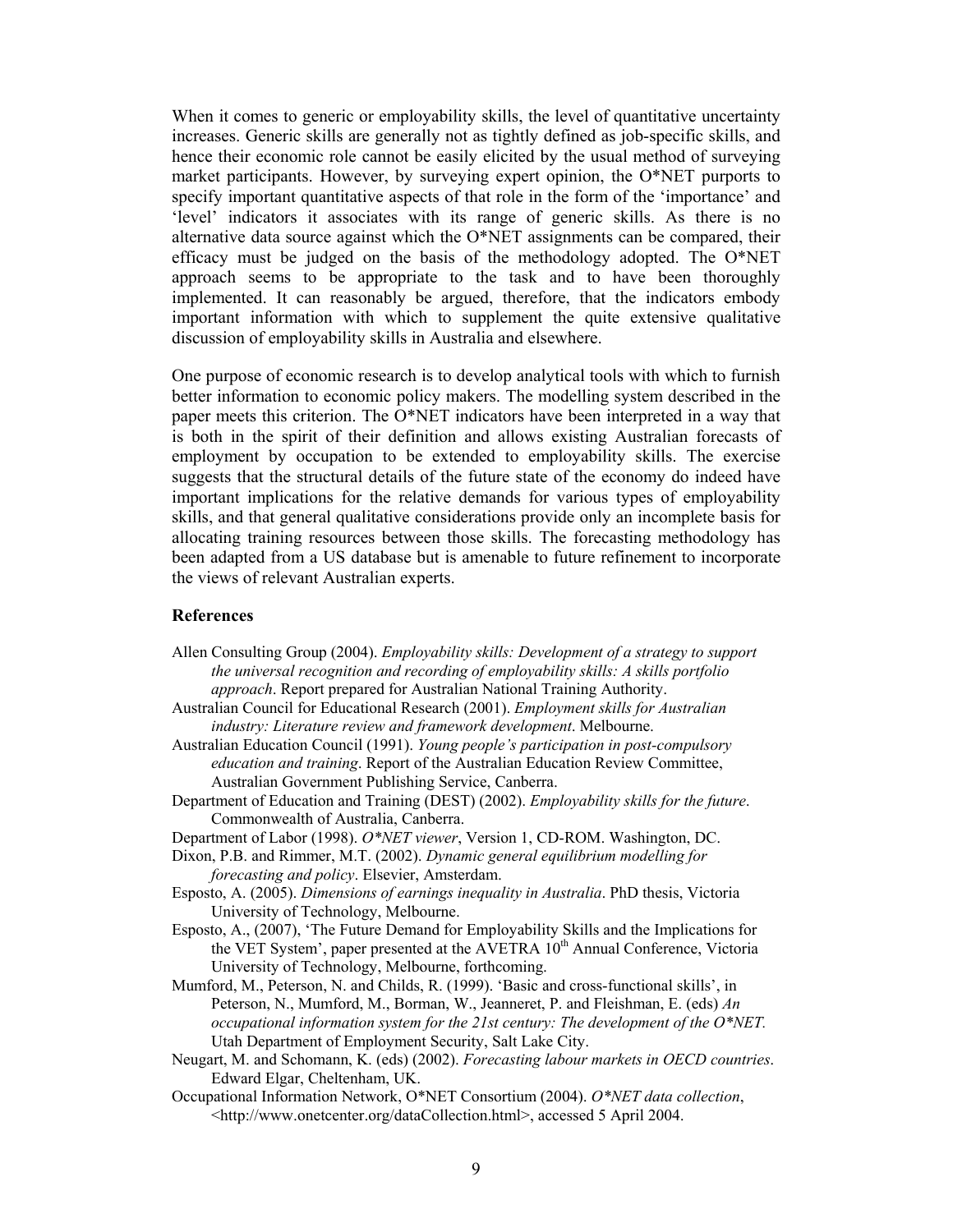When it comes to generic or employability skills, the level of quantitative uncertainty increases. Generic skills are generally not as tightly defined as job-specific skills, and hence their economic role cannot be easily elicited by the usual method of surveying market participants. However, by surveying expert opinion, the O\*NET purports to specify important quantitative aspects of that role in the form of the 'importance' and 'level' indicators it associates with its range of generic skills. As there is no alternative data source against which the O\*NET assignments can be compared, their efficacy must be judged on the basis of the methodology adopted. The O\*NET approach seems to be appropriate to the task and to have been thoroughly implemented. It can reasonably be argued, therefore, that the indicators embody important information with which to supplement the quite extensive qualitative discussion of employability skills in Australia and elsewhere.

One purpose of economic research is to develop analytical tools with which to furnish better information to economic policy makers. The modelling system described in the paper meets this criterion. The O\*NET indicators have been interpreted in a way that is both in the spirit of their definition and allows existing Australian forecasts of employment by occupation to be extended to employability skills. The exercise suggests that the structural details of the future state of the economy do indeed have important implications for the relative demands for various types of employability skills, and that general qualitative considerations provide only an incomplete basis for allocating training resources between those skills. The forecasting methodology has been adapted from a US database but is amenable to future refinement to incorporate the views of relevant Australian experts.

#### **References**

- Allen Consulting Group (2004). *Employability skills: Development of a strategy to support the universal recognition and recording of employability skills: A skills portfolio approach*. Report prepared for Australian National Training Authority.
- Australian Council for Educational Research (2001). *Employment skills for Australian industry: Literature review and framework development*. Melbourne.
- Australian Education Council (1991). *Young people's participation in post-compulsory education and training*. Report of the Australian Education Review Committee, Australian Government Publishing Service, Canberra.
- Department of Education and Training (DEST) (2002). *Employability skills for the future*. Commonwealth of Australia, Canberra.
- Department of Labor (1998). *O\*NET viewer*, Version 1, CD-ROM. Washington, DC.
- Dixon, P.B. and Rimmer, M.T. (2002). *Dynamic general equilibrium modelling for forecasting and policy*. Elsevier, Amsterdam.
- Esposto, A. (2005). *Dimensions of earnings inequality in Australia*. PhD thesis, Victoria University of Technology, Melbourne.
- Esposto, A., (2007), 'The Future Demand for Employability Skills and the Implications for the VET System', paper presented at the AVETRA 10<sup>th</sup> Annual Conference, Victoria University of Technology, Melbourne, forthcoming.
- Mumford, M., Peterson, N. and Childs, R. (1999). 'Basic and cross-functional skills', in Peterson, N., Mumford, M., Borman, W., Jeanneret, P. and Fleishman, E. (eds) *An occupational information system for the 21st century: The development of the O\*NET.* Utah Department of Employment Security, Salt Lake City.
- Neugart, M. and Schomann, K. (eds) (2002). *Forecasting labour markets in OECD countries*. Edward Elgar, Cheltenham, UK.
- Occupational Information Network, O\*NET Consortium (2004). *O\*NET data collection*, <http://www.onetcenter.org/dataCollection.html>, accessed 5 April 2004.